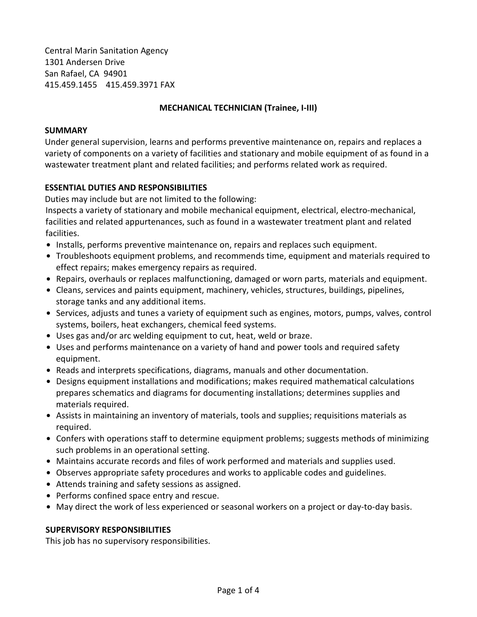Central Marin Sanitation Agency 1301 Andersen Drive San Rafael, CA 94901 415.459.1455 415.459.3971 FAX

#### **MECHANICAL TECHNICIAN (Trainee, I-III)**

#### **SUMMARY**

Under general supervision, learns and performs preventive maintenance on, repairs and replaces a variety of components on a variety of facilities and stationary and mobile equipment of as found in a wastewater treatment plant and related facilities; and performs related work as required.

### **ESSENTIAL DUTIES AND RESPONSIBILITIES**

Duties may include but are not limited to the following:

Inspects a variety of stationary and mobile mechanical equipment, electrical, electro-mechanical, facilities and related appurtenances, such as found in a wastewater treatment plant and related facilities.

- Installs, performs preventive maintenance on, repairs and replaces such equipment.
- Troubleshoots equipment problems, and recommends time, equipment and materials required to effect repairs; makes emergency repairs as required.
- . Repairs, overhauls or replaces malfunctioning, damaged or worn parts, materials and equipment.
- Cleans, services and paints equipment, machinery, vehicles, structures, buildings, pipelines, storage tanks and any additional items.
- Services, adjusts and tunes a variety of equipment such as engines, motors, pumps, valves, control systems, boilers, heat exchangers, chemical feed systems.
- Uses gas and/or arc welding equipment to cut, heat, weld or braze.
- Uses and performs maintenance on a variety of hand and power tools and required safety equipment.
- Reads and interprets specifications, diagrams, manuals and other documentation.
- Designs equipment installations and modifications; makes required mathematical calculations prepares schematics and diagrams for documenting installations; determines supplies and materials required.
- Assists in maintaining an inventory of materials, tools and supplies; requisitions materials as required.
- . Confers with operations staff to determine equipment problems; suggests methods of minimizing such problems in an operational setting.
- Maintains accurate records and files of work performed and materials and supplies used.
- Observes appropriate safety procedures and works to applicable codes and guidelines.
- Attends training and safety sessions as assigned.
- Performs confined space entry and rescue.
- May direct the work of less experienced or seasonal workers on a project or day-to-day basis.

### **SUPERVISORY RESPONSIBILITIES**

This job has no supervisory responsibilities.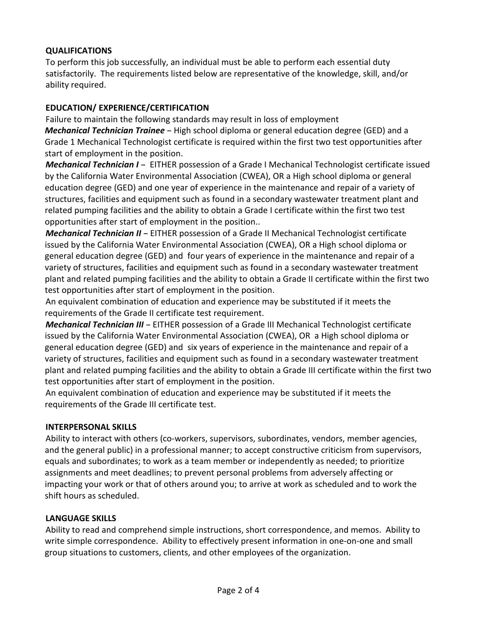# **QUALIFICATIONS**

To perform this job successfully, an individual must be able to perform each essential duty satisfactorily. The requirements listed below are representative of the knowledge, skill, and/or ability required.

## **EDUCATION/ EXPERIENCE/CERTIFICATION**

Failure to maintain the following standards may result in loss of employment

*Mechanical Technician Trainee* – High school diploma or general education degree (GED) and a Grade 1 Mechanical Technologist certificate is required within the first two test opportunities after start of employment in the position.

*Mechanical Technician I - EITHER possession of a Grade I Mechanical Technologist certificate issued* by the California Water Environmental Association (CWEA), OR a High school diploma or general education degree (GED) and one year of experience in the maintenance and repair of a variety of structures, facilities and equipment such as found in a secondary wastewater treatment plant and related pumping facilities and the ability to obtain a Grade I certificate within the first two test opportunities after start of employment in the position..

*Mechanical Technician II* - EITHER possession of a Grade II Mechanical Technologist certificate issued by the California Water Environmental Association (CWEA), OR a High school diploma or general education degree (GED) and four years of experience in the maintenance and repair of a variety of structures, facilities and equipment such as found in a secondary wastewater treatment plant and related pumping facilities and the ability to obtain a Grade II certificate within the first two test opportunities after start of employment in the position.

An equivalent combination of education and experience may be substituted if it meets the requirements of the Grade II certificate test requirement.

*Mechanical Technician III* - EITHER possession of a Grade III Mechanical Technologist certificate issued by the California Water Environmental Association (CWEA), OR a High school diploma or general education degree (GED) and six years of experience in the maintenance and repair of a variety of structures, facilities and equipment such as found in a secondary wastewater treatment plant and related pumping facilities and the ability to obtain a Grade III certificate within the first two test opportunities after start of employment in the position.

An equivalent combination of education and experience may be substituted if it meets the requirements of the Grade III certificate test.

### **INTERPERSONAL SKILLS**

Ability to interact with others (co-workers, supervisors, subordinates, vendors, member agencies, and the general public) in a professional manner; to accept constructive criticism from supervisors, equals and subordinates; to work as a team member or independently as needed; to prioritize assignments and meet deadlines; to prevent personal problems from adversely affecting or impacting your work or that of others around you; to arrive at work as scheduled and to work the shift hours as scheduled.

# **LANGUAGE SKILLS**

Ability to read and comprehend simple instructions, short correspondence, and memos. Ability to write simple correspondence. Ability to effectively present information in one-on-one and small group situations to customers, clients, and other employees of the organization.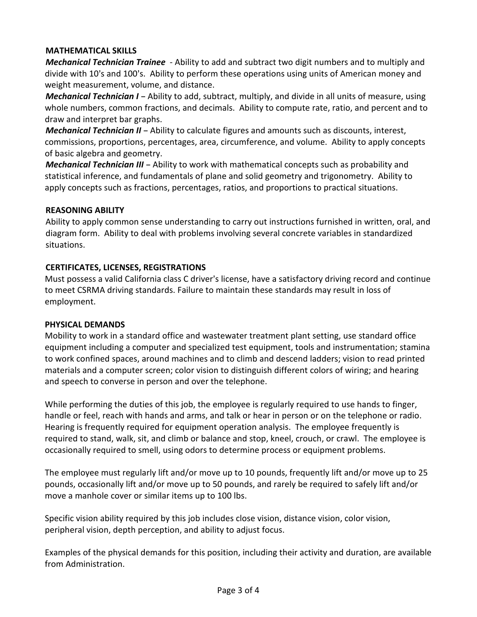# **MATHEMATICAL SKILLS**

*Mechanical Technician Trainee* - Ability to add and subtract two digit numbers and to multiply and divide with 10's and 100's. Ability to perform these operations using units of American money and weight measurement, volume, and distance.

*Mechanical Technician I - Ability to add, subtract, multiply, and divide in all units of measure, using* whole numbers, common fractions, and decimals. Ability to compute rate, ratio, and percent and to draw and interpret bar graphs.

*Mechanical Technician II - Ability to calculate figures and amounts such as discounts, interest,* commissions, proportions, percentages, area, circumference, and volume. Ability to apply concepts of basic algebra and geometry.

*Mechanical Technician III* - Ability to work with mathematical concepts such as probability and statistical inference, and fundamentals of plane and solid geometry and trigonometry. Ability to apply concepts such as fractions, percentages, ratios, and proportions to practical situations.

### **REASONING ABILITY**

Ability to apply common sense understanding to carry out instructions furnished in written, oral, and diagram form. Ability to deal with problems involving several concrete variables in standardized situations.

# **CERTIFICATES, LICENSES, REGISTRATIONS**

Must possess a valid California class C driver's license, have a satisfactory driving record and continue to meet CSRMA driving standards. Failure to maintain these standards may result in loss of employment.

### **PHYSICAL DEMANDS**

Mobility to work in a standard office and wastewater treatment plant setting, use standard office equipment including a computer and specialized test equipment, tools and instrumentation; stamina to work confined spaces, around machines and to climb and descend ladders; vision to read printed materials and a computer screen; color vision to distinguish different colors of wiring; and hearing and speech to converse in person and over the telephone.

While performing the duties of this job, the employee is regularly required to use hands to finger, handle or feel, reach with hands and arms, and talk or hear in person or on the telephone or radio. Hearing is frequently required for equipment operation analysis. The employee frequently is required to stand, walk, sit, and climb or balance and stop, kneel, crouch, or crawl. The employee is occasionally required to smell, using odors to determine process or equipment problems.

The employee must regularly lift and/or move up to 10 pounds, frequently lift and/or move up to 25 pounds, occasionally lift and/or move up to 50 pounds, and rarely be required to safely lift and/or move a manhole cover or similar items up to 100 lbs.

Specific vision ability required by this job includes close vision, distance vision, color vision, peripheral vision, depth perception, and ability to adjust focus.

Examples of the physical demands for this position, including their activity and duration, are available from Administration.